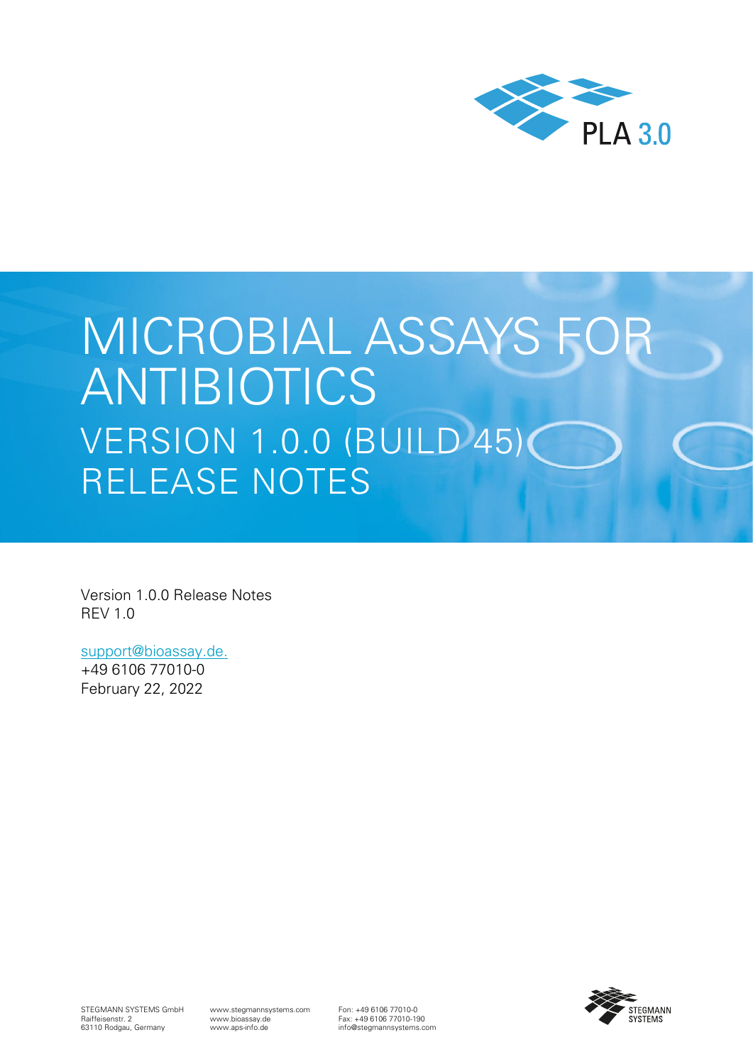

# MICROBIAL ASSAYS FOR ANTIBIOTICS VERSION 1.0.0 (BUILD 45) RELEASE NOTES

Version 1.0.0 Release Notes REV 1.0

[support@bioassay.de.](mailto:support@bioassay.de)

+49 6106 77010-0 February 22, 2022



STEGMANN SYSTEMS GmbH Raiffeisenstr. 2 63110 Rodgau, Germany

www.stegmannsystems.com www.bioassay.de www.aps-info.de

Fon: +49 6106 77010-0 Fax: +49 6106 77010-190 info@stegmannsystems.com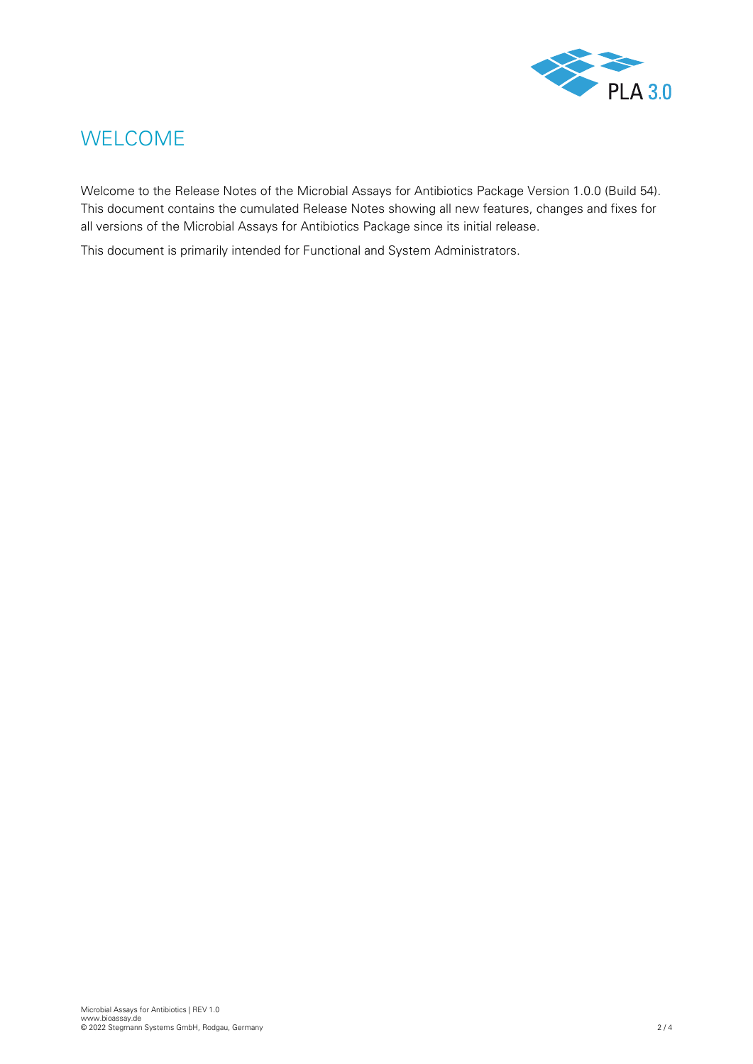

## <span id="page-1-0"></span>WELCOME

Welcome to the Release Notes of the Microbial Assays for Antibiotics Package Version 1.0.0 (Build 54). This document contains the cumulated Release Notes showing all new features, changes and fixes for all versions of the Microbial Assays for Antibiotics Package since its initial release.

This document is primarily intended for Functional and System Administrators.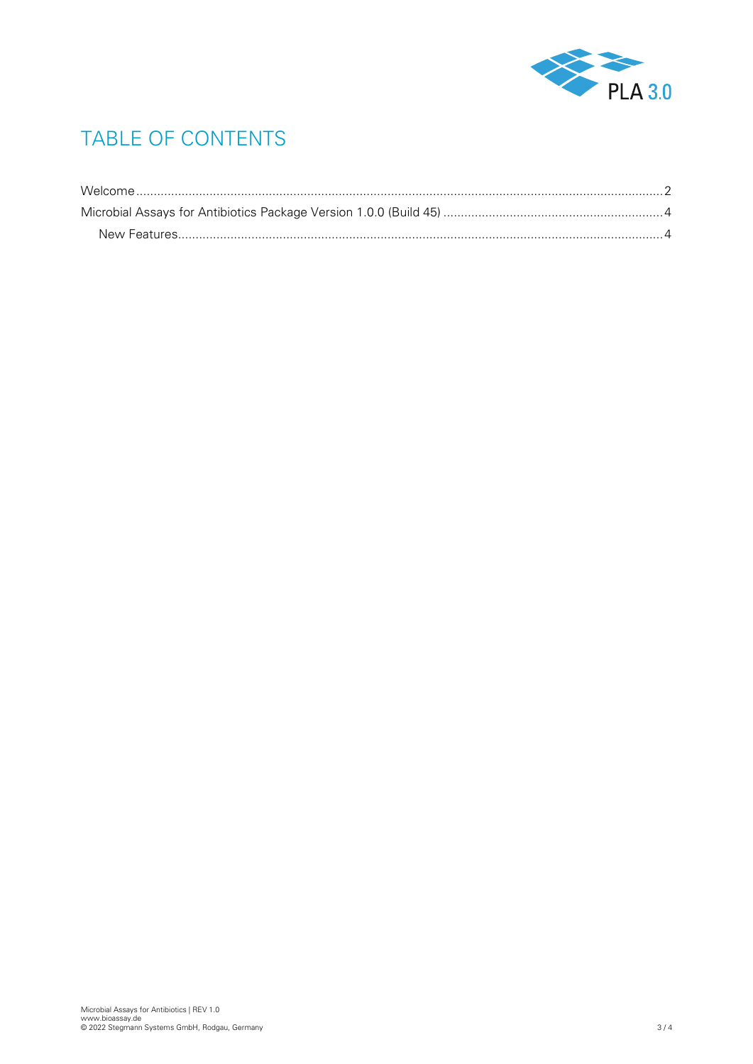

# TABLE OF CONTENTS